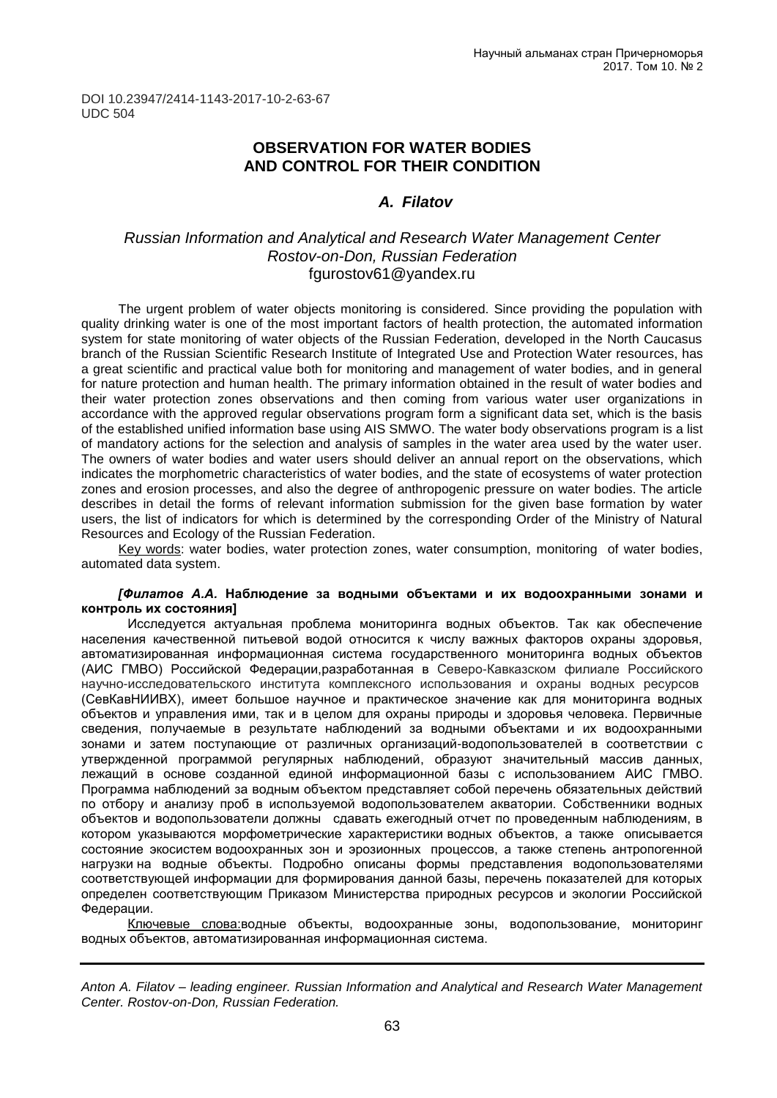DOI 10.23947/2414-1143-2017-10-2-63-67 UDC 504

## **OBSERVATION FOR WATER BODIES AND CONTROL FOR THEIR CONDITION**

### *A. Filatov*

### *Russian Information and Analytical and Research Water Management Center Rostov-on-Don, Russian Federation* [fgurostov61@yandex.ru](mailto:fgurostov61@yandex.ru)

The urgent problem of water objects monitoring is considered. Since providing the population with quality drinking water is one of the most important factors of health protection, the automated information system for state monitoring of water objects of the Russian Federation, developed in the North Caucasus branch of the Russian Scientific Research Institute of Integrated Use and Protection Water resources, has a great scientific and practical value both for monitoring and management of water bodies, and in general for nature protection and human health. The primary information obtained in the result of water bodies and their water protection zones observations and then coming from various water user organizations in accordance with the approved regular observations program form a significant data set, which is the basis of the established unified information base using AIS SMWO. The water body observations program is a list of mandatory actions for the selection and analysis of samples in the water area used by the water user. The owners of water bodies and water users should deliver an annual report on the observations, which indicates the morphometric characteristics of water bodies, and the state of ecosystems of water protection zones and erosion processes, and also the degree of anthropogenic pressure on water bodies. The article describes in detail the forms of relevant information submission for the given base formation by water users, the list of indicators for which is determined by the corresponding Order of the Ministry of Natural Resources and Ecology of the Russian Federation.

Key words: water bodies, water protection zones, water consumption, monitoring of water bodies, automated data system.

#### *[Филатов А.А.* **Наблюдение за водными объектами и их водоохранными зонами и контроль их состояния]**

Исследуется актуальная проблема мониторинга водных объектов. Так как обеспечение населения качественной питьевой водой относится к числу важных факторов охраны здоровья, автоматизированная информационная система государственного мониторинга водных объектов (АИС ГМВО) Российской Федерации,разработанная в [Северо-Кавказском](http://kekmir.ru/members/person_2911.html) филиале Российского [научно-исследовательского](http://kekmir.ru/members/person_2911.html) института комплексного использования и охраны водных ресурсов (СевКавНИИВХ), имеет большое научное и практическое значение как для мониторинга водных объектов и управления ими, так и в целом для охраны природы и здоровья человека. Первичные сведения, получаемые в результате наблюдений за водными объектами и их водоохранными зонами и затем поступающие от различных организаций-водопользователей в соответствии с утвержденной программой регулярных наблюдений, образуют значительный массив данных, лежащий в основе созданной единой информационной базы с использованием АИС ГМВО. Программа наблюдений за водным объектом представляет собой перечень обязательных действий по отбору и анализу проб в используемой водопользователем акватории. Собственники водных объектов и водопользователи должны сдавать ежегодный отчет по проведенным наблюдениям, в котором указываются морфометрические характеристики водных объектов, а также описывается состояние экосистем водоохранных зон и эрозионных процессов, а также степень антропогенной нагрузки на водные объекты. Подробно описаны формы представления водопользователями соответствующей информации для формирования данной базы, перечень показателей для которых определен соответствующим Приказом Министерства природных ресурсов и экологии Российской Федерации.

Ключевые слова:водные объекты, водоохранные зоны, водопользование, мониторинг водных объектов, автоматизированная информационная система.

*Anton A. Filatov – leading engineer. Russian Information and Analytical and Research Water Management Center. Rostov-on-Don, Russian Federation.*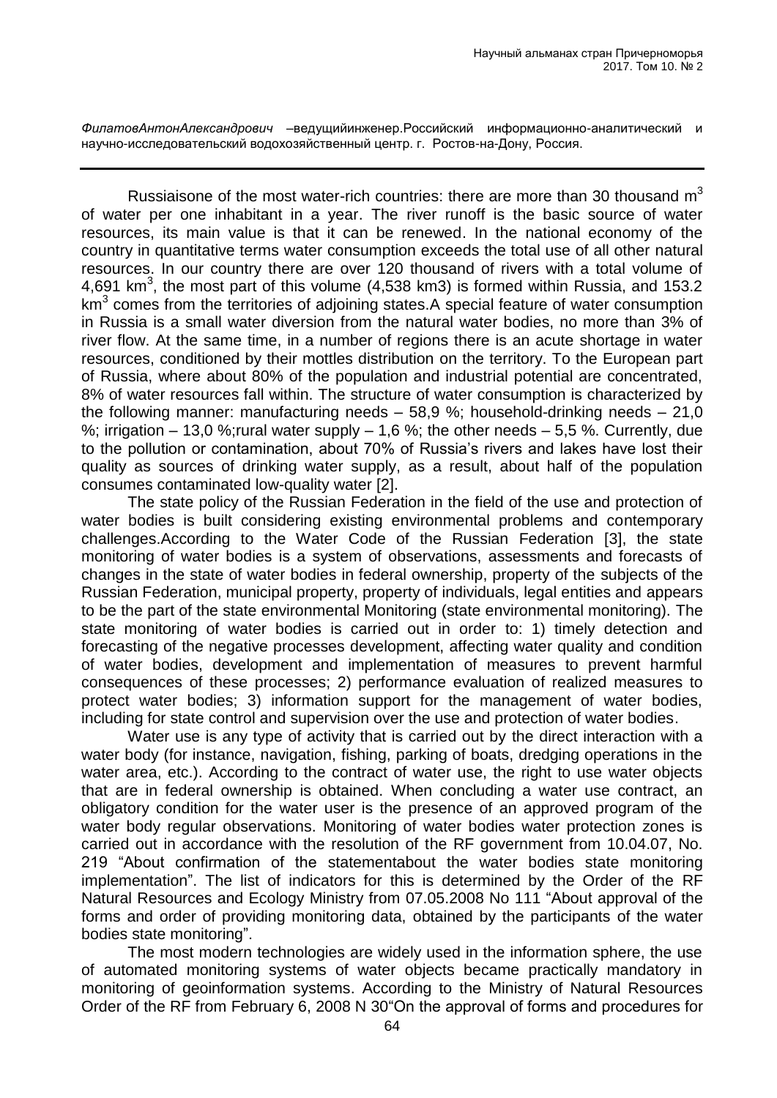*ФилатовАнтонАлександрович –*ведущийинженер.Российский информационно-аналитический и научно-исследовательский водохозяйственный центр. г. Ростов-на-Дону, Россия.

Russiaisone of the most water-rich countries: there are more than 30 thousand  $m<sup>3</sup>$ of water per one inhabitant in a year. The river runoff is the basic source of water resources, its main value is that it can be renewed. In the national economy of the country in quantitative terms water consumption exceeds the total use of all other natural resources. In our country there are over 120 thousand of rivers with a total volume of 4,691 km<sup>3</sup>, the most part of this volume (4,538 km3) is formed within Russia, and 153.2  $km<sup>3</sup>$  comes from the territories of adjoining states. A special feature of water consumption in Russia is a small water diversion from the natural water bodies, no more than 3% of river flow. At the same time, in a number of regions there is an acute shortage in water resources, conditioned by their mottles distribution on the territory. To the European part of Russia, where about 80% of the population and industrial potential are concentrated, 8% of water resources fall within. The structure of water consumption is characterized by the following manner: manufacturing needs – 58,9 %; household-drinking needs – 21,0 %; irrigation  $-13.0$  %; rural water supply  $-1.6$  %; the other needs  $-5.5$  %. Currently, due to the pollution or contamination, about 70% of Russia's rivers and lakes have lost their quality as sources of drinking water supply, as a result, about half of the population consumes contaminated low-quality water [2].

The state policy of the Russian Federation in the field of the use and protection of water bodies is built considering existing environmental problems and contemporary challenges.According to the Water Code of the Russian Federation [3], the state monitoring of water bodies is a system of observations, assessments and forecasts of changes in the state of water bodies in federal ownership, property of the subjects of the Russian Federation, municipal property, property of individuals, legal entities and appears to be the part of the state environmental Monitoring (state environmental monitoring). The state monitoring of water bodies is carried out in order to: 1) timely detection and forecasting of the negative processes development, affecting water quality and condition of water bodies, development and implementation of measures to prevent harmful consequences of these processes; 2) performance evaluation of realized measures to protect water bodies; 3) information support for the management of water bodies, including for state control and supervision over the use and protection of water bodies.

Water use is any type of activity that is carried out by the direct interaction with a water body (for instance, navigation, fishing, parking of boats, dredging operations in the water area, etc.). According to the contract of water use, the right to use water objects that are in federal ownership is obtained. When concluding a water use contract, an obligatory condition for the water user is the presence of an approved program of the water body regular observations. Monitoring of water bodies water protection zones is carried out in accordance with the resolution of the RF government from 10.04.07, No. 219 "About confirmation of the statementabout the water bodies state monitoring implementation". The list of indicators for this is determined by the Order of the RF Natural Resources and Ecology Ministry from 07.05.2008 No 111 "About approval of the forms and order of providing monitoring data, obtained by the participants of the water bodies state monitoring".

The most modern technologies are widely used in the information sphere, the use of automated monitoring systems of water objects became practically mandatory in monitoring of geoinformation systems. According to the Ministry of Natural Resources Order of the RF from February 6, 2008 N 30"On the approval of forms and procedures for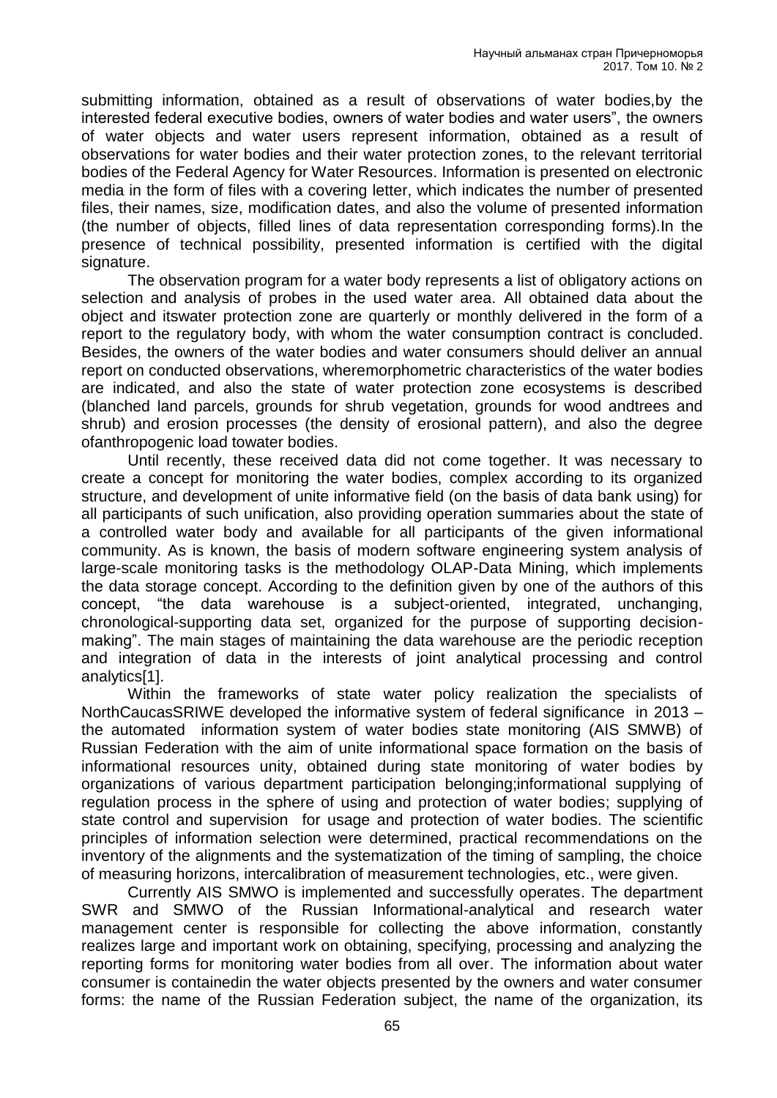submitting information, obtained as a result of observations of water bodies,by the interested federal executive bodies, owners of water bodies and water users", the owners of water objects and water users represent information, obtained as a result of observations for water bodies and their water protection zones, to the relevant territorial bodies of the Federal Agency for Water Resources. Information is presented on electronic media in the form of files with a covering letter, which indicates the number of presented files, their names, size, modification dates, and also the volume of presented information (the number of objects, filled lines of data representation corresponding forms).In the presence of technical possibility, presented information is certified with the digital signature.

The observation program for a water body represents a list of obligatory actions on selection and analysis of probes in the used water area. All obtained data about the object and itswater protection zone are quarterly or monthly delivered in the form of a report to the regulatory body, with whom the water consumption contract is concluded. Besides, the owners of the water bodies and water consumers should deliver an annual report on conducted observations, wheremorphometric characteristics of the water bodies are indicated, and also the state of water protection zone ecosystems is described (blanched land parcels, grounds for shrub vegetation, grounds for wood andtrees and shrub) and erosion processes (the density of erosional pattern), and also the degree ofanthropogenic load towater bodies.

Until recently, these received data did not come together. It was necessary to create a concept for monitoring the water bodies, complex according to its organized structure, and development of unite informative field (on the basis of data bank using) for all participants of such unification, also providing operation summaries about the state of a controlled water body and available for all participants of the given informational community. As is known, the basis of modern software engineering system analysis of large-scale monitoring tasks is the methodology OLAP-Data Mining, which implements the data storage concept. According to the definition given by one of the authors of this concept, "the data warehouse is a subject-oriented, integrated, unchanging, chronological-supporting data set, organized for the purpose of supporting decisionmaking". The main stages of maintaining the data warehouse are the periodic reception and integration of data in the interests of joint analytical processing and control analytics[1].

Within the frameworks of state water policy realization the specialists of NorthCaucasSRIWE developed the informative system of federal significance in 2013 – the automated information system of water bodies state monitoring (AIS SMWB) of Russian Federation with the aim of unite informational space formation on the basis of informational resources unity, obtained during state monitoring of water bodies by organizations of various department participation belonging;informational supplying of regulation process in the sphere of using and protection of water bodies; supplying of state control and supervision for usage and protection of water bodies. The scientific principles of information selection were determined, practical recommendations on the inventory of the alignments and the systematization of the timing of sampling, the choice of measuring horizons, intercalibration of measurement technologies, etc., were given.

Currently AIS SMWO is implemented and successfully operates. The department SWR and SMWO of the Russian Informational-analytical and research water management center is responsible for collecting the above information, constantly realizes large and important work on obtaining, specifying, processing and analyzing the reporting forms for monitoring water bodies from all over. The information about water consumer is containedin the water objects presented by the owners and water consumer forms: the name of the Russian Federation subject, the name of the organization, its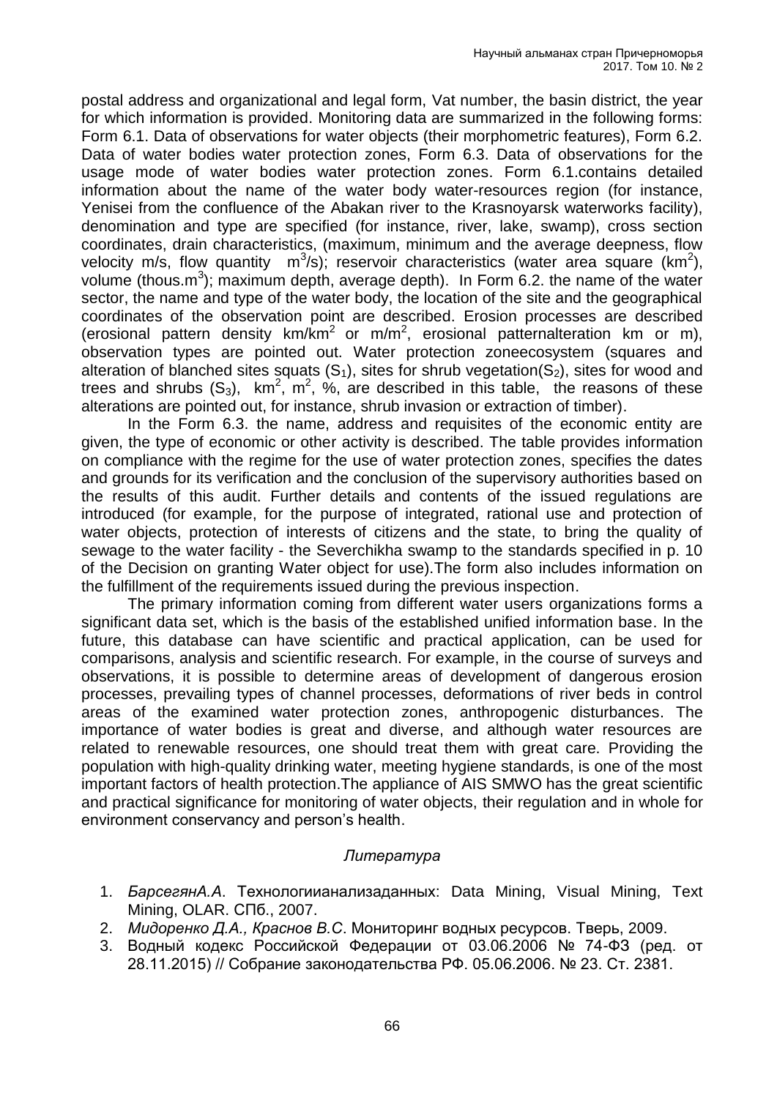postal address and organizational and legal form, Vat number, the basin district, the year for which information is provided. Monitoring data are summarized in the following forms: Form 6.1. Data of observations for water objects (their morphometric features), Form 6.2. Data of water bodies water protection zones, Form 6.3. Data of observations for the usage mode of water bodies water protection zones. Form 6.1.contains detailed information about the name of the water body water-resources region (for instance, Yenisei from the confluence of the Abakan river to the Krasnoyarsk waterworks facility), denomination and type are specified (for instance, river, lake, swamp), cross section coordinates, drain characteristics, (maximum, minimum and the average deepness, flow velocity m/s, flow quantity  $m^3/s$ ); reservoir characteristics (water area square (km<sup>2</sup>), volume (thous.m<sup>3</sup>); maximum depth, average depth). In Form 6.2. the name of the water sector, the name and type of the water body, the location of the site and the geographical coordinates of the observation point are described. Erosion processes are described (erosional pattern density km/km<sup>2</sup> or m/m<sup>2</sup>, erosional patternalteration km or m), observation types are pointed out. Water protection zoneecosystem (squares and alteration of blanched sites squats  $(S_1)$ , sites for shrub vegetation( $S_2$ ), sites for wood and trees and shrubs  $(S_3)$ , km<sup>2</sup>, m<sup>2</sup>, %, are described in this table, the reasons of these alterations are pointed out, for instance, shrub invasion or extraction of timber).

In the Form 6.3. the name, address and requisites of the economic entity are given, the type of economic or other activity is described. The table provides information on compliance with the regime for the use of water protection zones, specifies the dates and grounds for its verification and the conclusion of the supervisory authorities based on the results of this audit. Further details and contents of the issued regulations are introduced (for example, for the purpose of integrated, rational use and protection of water objects, protection of interests of citizens and the state, to bring the quality of sewage to the water facility - the Severchikha swamp to the standards specified in p. 10 of the Decision on granting Water object for use).The form also includes information on the fulfillment of the requirements issued during the previous inspection.

The primary information coming from different water users organizations forms a significant data set, which is the basis of the established unified information base. In the future, this database can have scientific and practical application, can be used for comparisons, analysis and scientific research. For example, in the course of surveys and observations, it is possible to determine areas of development of dangerous erosion processes, prevailing types of channel processes, deformations of river beds in control areas of the examined water protection zones, anthropogenic disturbances. The importance of water bodies is great and diverse, and although water resources are related to renewable resources, one should treat them with great care. Providing the population with high-quality drinking water, meeting hygiene standards, is one of the most important factors of health protection.The appliance of AIS SMWO has the great scientific and practical significance for monitoring of water objects, their regulation and in whole for environment conservancy and person's health.

## *Литература*

- 1. *БарсегянА.А*. Технологиианализаданных: Data Mining, Visual Mining, Text Mining, OLAR. СПб., 2007.
- 2. *Мидоренко Д.А., Краснов В.С*. Мониторинг водных ресурсов. Тверь, 2009.
- 3. Водный кодекс Российской Федерации от 03.06.2006 № 74-ФЗ (ред. от 28.11.2015) // Собрание законодательства РФ. 05.06.2006. № 23. Ст. 2381.